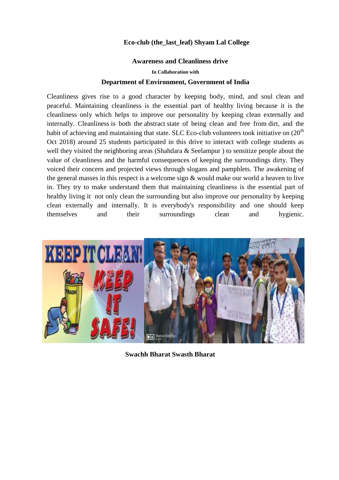## **Eco-club (the\_last\_leaf) Shyam Lal College**

## **Awareness and Cleanliness drive**

**In Collaboration with**

## Department of Environment, Government of India

Cleanliness gives rise to a good character by keeping body, mind, and soul clean and peaceful. Maintaining cleanline[ss is the](https://en.wikipedia.org/wiki/Abstraction) essential part of healthy living b[ecaus](https://en.wikipedia.org/wiki/Dirt)e it is the cleanliness only which helps to improve our personality by keeping clean externally and internally. Cleanliness is both the abstract state of being clean and free from dirt, and the habit of achieving and maintaining that state. SLC Eco-club volunteers took initiative on  $(20<sup>th</sup>$ Oct 2018) around 25 students participated in this drive to interact with college students as well they visited the neighboring areas (Shahdara & Seelampur ) to sensitize people about the value of cleanliness and the harmful consequences of keeping the surroundings dirty. They voiced their concern and projected views through slogans and pamphlets. The awakening of the general masses in this respect is a welcome sign & would make our world a heaven to live in. They try to make understand them that maintaining cleanliness is the essential part of healthy living it not only clean the surrounding but also improve our personality by keeping clean externally and internally. It is everybody's responsibility and one should keep themselves and their surroundings clean and hygienic.



**Swachh Bharat Swasth Bharat**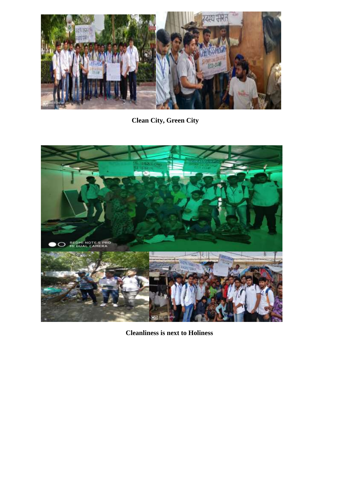

**Clean City, Green City** 



**Cleanliness is next to Holiness**